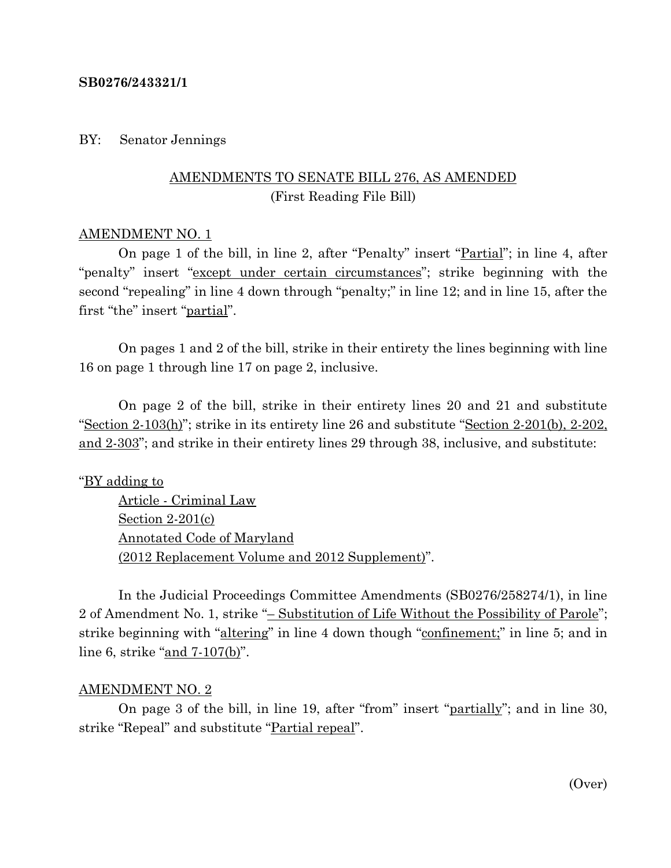#### **SB0276/243321/1**

#### BY: Senator Jennings

## AMENDMENTS TO SENATE BILL 276, AS AMENDED (First Reading File Bill)

#### AMENDMENT NO. 1

On page 1 of the bill, in line 2, after "Penalty" insert "Partial"; in line 4, after "penalty" insert "except under certain circumstances"; strike beginning with the second "repealing" in line 4 down through "penalty;" in line 12; and in line 15, after the first "the" insert "partial".

On pages 1 and 2 of the bill, strike in their entirety the lines beginning with line 16 on page 1 through line 17 on page 2, inclusive.

On page 2 of the bill, strike in their entirety lines 20 and 21 and substitute "Section 2-103(h)"; strike in its entirety line 26 and substitute "Section 2-201(b), 2-202, and 2-303"; and strike in their entirety lines 29 through 38, inclusive, and substitute:

#### "BY adding to

Article - Criminal Law Section 2-201(c) Annotated Code of Maryland (2012 Replacement Volume and 2012 Supplement)".

In the Judicial Proceedings Committee Amendments (SB0276/258274/1), in line 2 of Amendment No. 1, strike "– Substitution of Life Without the Possibility of Parole"; strike beginning with "altering" in line 4 down though "confinement;" in line 5; and in line 6, strike "and 7-107(b)".

#### AMENDMENT NO. 2

On page 3 of the bill, in line 19, after "from" insert "partially"; and in line 30, strike "Repeal" and substitute "Partial repeal".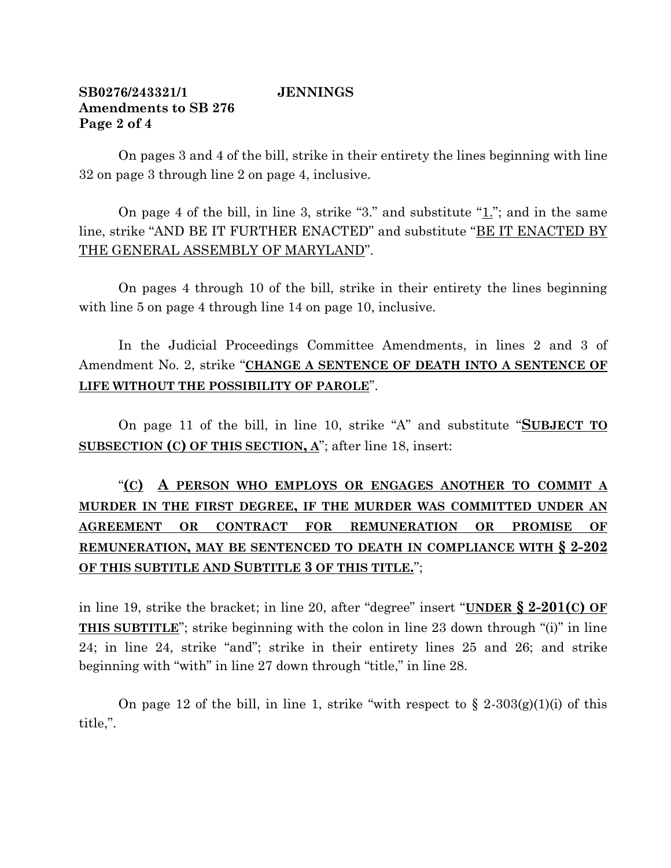## **SB0276/243321/1 JENNINGS Amendments to SB 276 Page 2 of 4**

On pages 3 and 4 of the bill, strike in their entirety the lines beginning with line 32 on page 3 through line 2 on page 4, inclusive.

On page 4 of the bill, in line 3, strike "3." and substitute "1."; and in the same line, strike "AND BE IT FURTHER ENACTED" and substitute "BE IT ENACTED BY THE GENERAL ASSEMBLY OF MARYLAND".

On pages 4 through 10 of the bill, strike in their entirety the lines beginning with line 5 on page 4 through line 14 on page 10, inclusive.

In the Judicial Proceedings Committee Amendments, in lines 2 and 3 of Amendment No. 2, strike "**CHANGE A SENTENCE OF DEATH INTO A SENTENCE OF LIFE WITHOUT THE POSSIBILITY OF PAROLE**".

On page 11 of the bill, in line 10, strike "A" and substitute "**SUBJECT TO SUBSECTION (C) OF THIS SECTION, A**"; after line 18, insert:

# "**(C) A PERSON WHO EMPLOYS OR ENGAGES ANOTHER TO COMMIT A MURDER IN THE FIRST DEGREE, IF THE MURDER WAS COMMITTED UNDER AN AGREEMENT OR CONTRACT FOR REMUNERATION OR PROMISE OF REMUNERATION, MAY BE SENTENCED TO DEATH IN COMPLIANCE WITH § 2-202 OF THIS SUBTITLE AND SUBTITLE 3 OF THIS TITLE.**";

in line 19, strike the bracket; in line 20, after "degree" insert "**UNDER § 2-201(C) OF THIS SUBTITLE**"; strike beginning with the colon in line 23 down through "(i)" in line 24; in line 24, strike "and"; strike in their entirety lines 25 and 26; and strike beginning with "with" in line 27 down through "title," in line 28.

On page 12 of the bill, in line 1, strike "with respect to  $\S 2-303(g)(1)(i)$  of this title,".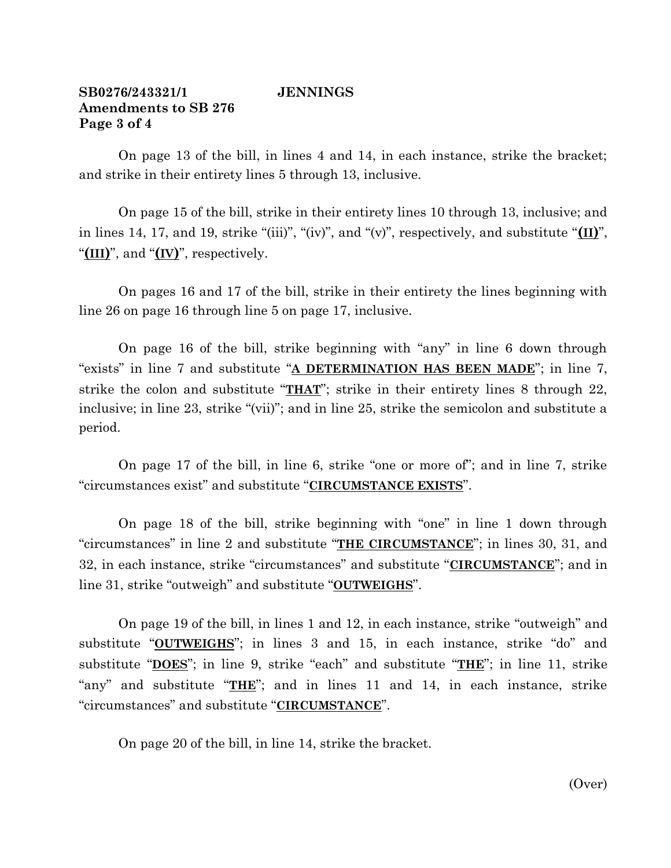### **SB0276/243321/1 JENNINGS Amendments to SB 276 Page 3 of 4**

On page 13 of the bill, in lines 4 and 14, in each instance, strike the bracket; and strike in their entirety lines 5 through 13, inclusive.

On page 15 of the bill, strike in their entirety lines 10 through 13, inclusive; and in lines 14, 17, and 19, strike "(iii)", "(iv)", and "(v)", respectively, and substitute "**(II)**", "**(III)**", and "**(IV)**", respectively.

On pages 16 and 17 of the bill, strike in their entirety the lines beginning with line 26 on page 16 through line 5 on page 17, inclusive.

On page 16 of the bill, strike beginning with "any" in line 6 down through "exists" in line 7 and substitute "**A DETERMINATION HAS BEEN MADE**"; in line 7, strike the colon and substitute "**THAT**"; strike in their entirety lines 8 through 22, inclusive; in line 23, strike "(vii)"; and in line 25, strike the semicolon and substitute a period.

On page 17 of the bill, in line 6, strike "one or more of"; and in line 7, strike "circumstances exist" and substitute "**CIRCUMSTANCE EXISTS**".

On page 18 of the bill, strike beginning with "one" in line 1 down through "circumstances" in line 2 and substitute "**THE CIRCUMSTANCE**"; in lines 30, 31, and 32, in each instance, strike "circumstances" and substitute "**CIRCUMSTANCE**"; and in line 31, strike "outweigh" and substitute "**OUTWEIGHS**".

On page 19 of the bill, in lines 1 and 12, in each instance, strike "outweigh" and substitute "**OUTWEIGHS**"; in lines 3 and 15, in each instance, strike "do" and substitute "**DOES**"; in line 9, strike "each" and substitute "**THE**"; in line 11, strike "any" and substitute "**THE**"; and in lines 11 and 14, in each instance, strike "circumstances" and substitute "**CIRCUMSTANCE**".

On page 20 of the bill, in line 14, strike the bracket.